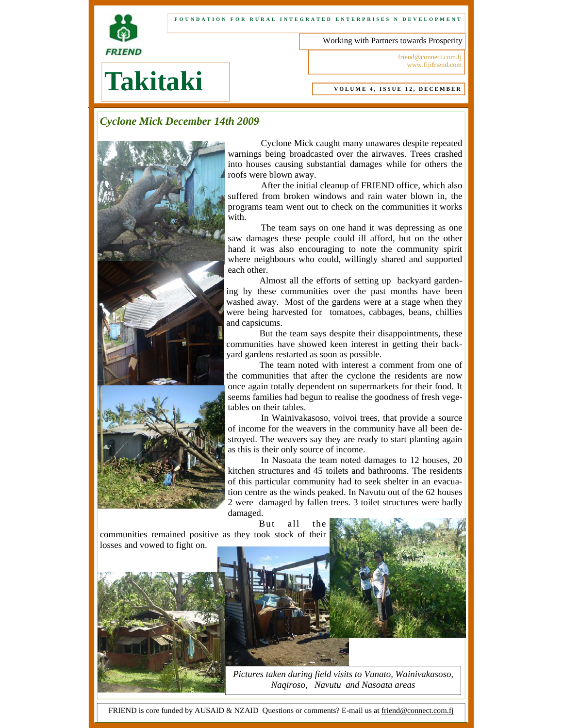

#### **FOUNDATION FOR RURAL INTEGRATED ENTERPRISES N DEVELOPMENT**

Working with Partners towards Prosperity

friend@connect.com.fj www.fijifriend.com

# **Takitaki**

#### **VOLUME 4, ISSUE 12, DECEMBER**

# *Cyclone Mick December 14th 2009*



 Cyclone Mick caught many unawares despite repeated warnings being broadcasted over the airwaves. Trees crashed into houses causing substantial damages while for others the roofs were blown away.

 After the initial cleanup of FRIEND office, which also suffered from broken windows and rain water blown in, the programs team went out to check on the communities it works with.

 The team says on one hand it was depressing as one saw damages these people could ill afford, but on the other hand it was also encouraging to note the community spirit where neighbours who could, willingly shared and supported each other.

 Almost all the efforts of setting up backyard gardening by these communities over the past months have been washed away. Most of the gardens were at a stage when they were being harvested for tomatoes, cabbages, beans, chillies and capsicums.

 But the team says despite their disappointments, these communities have showed keen interest in getting their backyard gardens restarted as soon as possible.

 The team noted with interest a comment from one of the communities that after the cyclone the residents are now once again totally dependent on supermarkets for their food. It seems families had begun to realise the goodness of fresh vegetables on their tables.

 In Wainivakasoso, voivoi trees, that provide a source of income for the weavers in the community have all been destroyed. The weavers say they are ready to start planting again as this is their only source of income.

 In Nasoata the team noted damages to 12 houses, 20 kitchen structures and 45 toilets and bathrooms. The residents of this particular community had to seek shelter in an evacuation centre as the winds peaked. In Navutu out of the 62 houses 2 were damaged by fallen trees. 3 toilet structures were badly damaged.

But all the communities remained positive as they took stock of their losses and vowed to fight on.



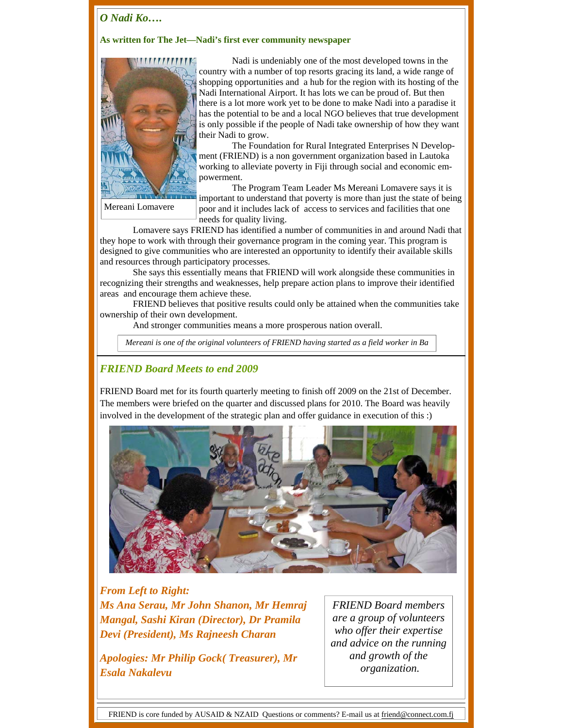# *O Nadi Ko….*

### **As written for The Jet—Nadi's first ever community newspaper**



Mereani Lomavere

 Nadi is undeniably one of the most developed towns in the country with a number of top resorts gracing its land, a wide range of shopping opportunities and a hub for the region with its hosting of the Nadi International Airport. It has lots we can be proud of. But then there is a lot more work yet to be done to make Nadi into a paradise it has the potential to be and a local NGO believes that true development is only possible if the people of Nadi take ownership of how they want their Nadi to grow.

 The Foundation for Rural Integrated Enterprises N Development (FRIEND) is a non government organization based in Lautoka working to alleviate poverty in Fiji through social and economic empowerment.

 The Program Team Leader Ms Mereani Lomavere says it is important to understand that poverty is more than just the state of being poor and it includes lack of access to services and facilities that one needs for quality living.

 Lomavere says FRIEND has identified a number of communities in and around Nadi that they hope to work with through their governance program in the coming year. This program is designed to give communities who are interested an opportunity to identify their available skills and resources through participatory processes.

 She says this essentially means that FRIEND will work alongside these communities in recognizing their strengths and weaknesses, help prepare action plans to improve their identified areas and encourage them achieve these.

 FRIEND believes that positive results could only be attained when the communities take ownership of their own development.

And stronger communities means a more prosperous nation overall.

*Mereani is one of the original volunteers of FRIEND having started as a field worker in Ba* 

## *FRIEND Board Meets to end 2009*

FRIEND Board met for its fourth quarterly meeting to finish off 2009 on the 21st of December. The members were briefed on the quarter and discussed plans for 2010. The Board was heavily involved in the development of the strategic plan and offer guidance in execution of this :)



## *From Left to Right:*

*Ms Ana Serau, Mr John Shanon, Mr Hemraj Mangal, Sashi Kiran (Director), Dr Pramila Devi (President), Ms Rajneesh Charan* 

*Apologies: Mr Philip Gock( Treasurer), Mr Esala Nakalevu* 

*FRIEND Board members are a group of volunteers who offer their expertise and advice on the running and growth of the organization.* 

FRIEND is core funded by AUSAID & NZAID Questions or comments? E-mail us at friend@connect.com.fj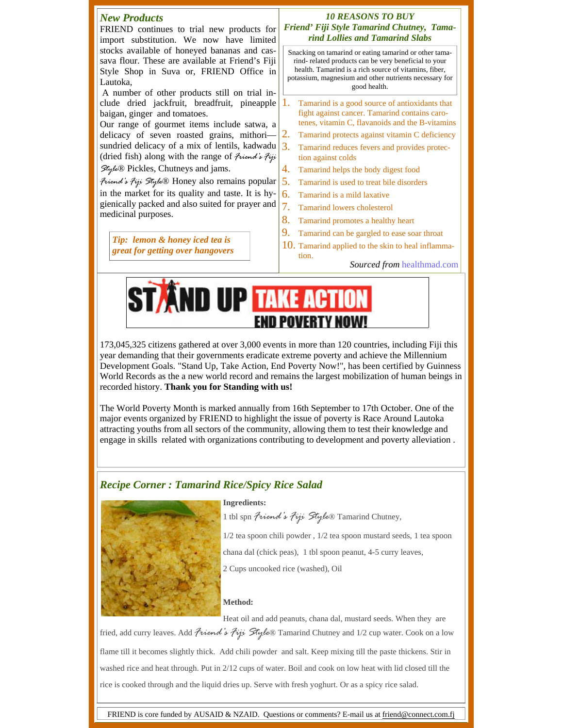

173,045,325 citizens gathered at over 3,000 events in more than 120 countries, including Fiji this year demanding that their governments eradicate extreme poverty and achieve the Millennium Development Goals. "Stand Up, Take Action, End Poverty Now!", has been certified by Guinness World Records as the a new world record and remains the largest mobilization of human beings in recorded history. **Thank you for Standing with us!**

The World Poverty Month is marked annually from 16th September to 17th October. One of the major events organized by FRIEND to highlight the issue of poverty is Race Around Lautoka attracting youths from all sectors of the community, allowing them to test their knowledge and engage in skills related with organizations contributing to development and poverty alleviation .

## *Recipe Corner : Tamarind Rice/Spicy Rice Salad*



#### **Ingredients:**

1 tbl spn *Friend's Fiji Style*® Tamarind Chutney,

1/2 tea spoon chili powder , 1/2 tea spoon mustard seeds, 1 tea spoon

chana dal (chick peas), 1 tbl spoon peanut, 4-5 curry leaves,

2 Cups uncooked rice (washed), Oil

#### **Method:**

Heat oil and add peanuts, chana dal, mustard seeds. When they are

fried, add curry leaves. Add *Friend's Fiji Style*® Tamarind Chutney and 1/2 cup water. Cook on a low flame till it becomes slightly thick. Add chili powder and salt. Keep mixing till the paste thickens. Stir in washed rice and heat through. Put in 2/12 cups of water. Boil and cook on low heat with lid closed till the rice is cooked through and the liquid dries up. Serve with fresh yoghurt. Or as a spicy rice salad.

FRIEND is core funded by AUSAID & NZAID. Questions or comments? E-mail us at friend@connect.com.fj